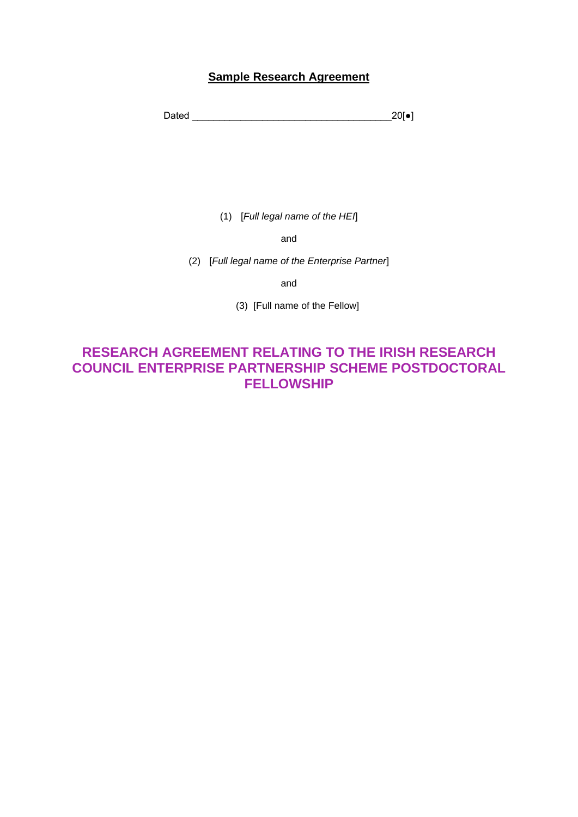# **Sample Research Agreement**

Dated \_\_\_\_\_\_\_\_\_\_\_\_\_\_\_\_\_\_\_\_\_\_\_\_\_\_\_\_\_\_\_\_\_\_\_\_\_20[●]

(1) [*Full legal name of the HEI*]

and

(2) [*Full legal name of the Enterprise Partner*]

and

(3) [Full name of the Fellow]

# **RESEARCH AGREEMENT RELATING TO THE IRISH RESEARCH COUNCIL ENTERPRISE PARTNERSHIP SCHEME POSTDOCTORAL FELLOWSHIP**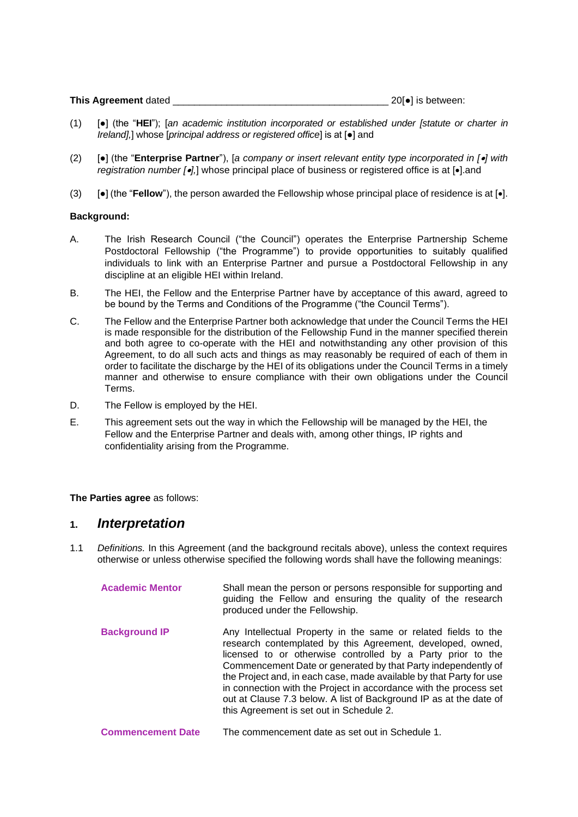| This Agreement dated |  | 20[•] is between: |  |
|----------------------|--|-------------------|--|
|                      |  |                   |  |

- (1) [●] (the "**HEI**"); [*an academic institution incorporated or established under [statute or charter in Ireland],*] whose [*principal address or registered office*] is at [●] and
- (2) [●] (the "**Enterprise Partner**"), [*a company or insert relevant entity type incorporated in [*•*] with registration number [*•*],*] whose principal place of business or registered office is at [•].and
- (3) [●] (the "**Fellow**"), the person awarded the Fellowship whose principal place of residence is at [•].

#### **Background:**

- A. The Irish Research Council ("the Council") operates the Enterprise Partnership Scheme Postdoctoral Fellowship ("the Programme") to provide opportunities to suitably qualified individuals to link with an Enterprise Partner and pursue a Postdoctoral Fellowship in any discipline at an eligible HEI within Ireland.
- B. The HEI, the Fellow and the Enterprise Partner have by acceptance of this award, agreed to be bound by the Terms and Conditions of the Programme ("the Council Terms").
- C. The Fellow and the Enterprise Partner both acknowledge that under the Council Terms the HEI is made responsible for the distribution of the Fellowship Fund in the manner specified therein and both agree to co-operate with the HEI and notwithstanding any other provision of this Agreement, to do all such acts and things as may reasonably be required of each of them in order to facilitate the discharge by the HEI of its obligations under the Council Terms in a timely manner and otherwise to ensure compliance with their own obligations under the Council Terms.
- D. The Fellow is employed by the HEI.
- E. This agreement sets out the way in which the Fellowship will be managed by the HEI, the Fellow and the Enterprise Partner and deals with, among other things, IP rights and confidentiality arising from the Programme.

#### **The Parties agree** as follows:

## **1.** *Interpretation*

1.1 *Definitions.* In this Agreement (and the background recitals above), unless the context requires otherwise or unless otherwise specified the following words shall have the following meanings:

| <b>Academic Mentor</b> | Shall mean the person or persons responsible for supporting and<br>guiding the Fellow and ensuring the quality of the research<br>produced under the Fellowship.                                                                                                                                                                                                                                                                                                                                                           |
|------------------------|----------------------------------------------------------------------------------------------------------------------------------------------------------------------------------------------------------------------------------------------------------------------------------------------------------------------------------------------------------------------------------------------------------------------------------------------------------------------------------------------------------------------------|
| <b>Background IP</b>   | Any Intellectual Property in the same or related fields to the<br>research contemplated by this Agreement, developed, owned,<br>licensed to or otherwise controlled by a Party prior to the<br>Commencement Date or generated by that Party independently of<br>the Project and, in each case, made available by that Party for use<br>in connection with the Project in accordance with the process set<br>out at Clause 7.3 below. A list of Background IP as at the date of<br>this Agreement is set out in Schedule 2. |

**Commencement Date** The commencement date as set out in Schedule 1.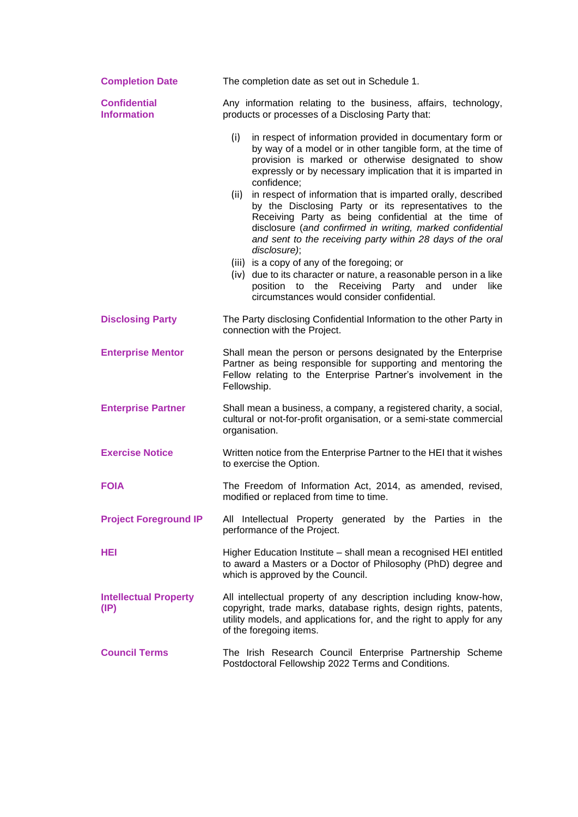| <b>Completion Date</b>                          | The completion date as set out in Schedule 1.                                                                                                                                                                                                                                                                                                                                                                              |  |
|-------------------------------------------------|----------------------------------------------------------------------------------------------------------------------------------------------------------------------------------------------------------------------------------------------------------------------------------------------------------------------------------------------------------------------------------------------------------------------------|--|
| <b>Confidential</b><br><b>Information</b>       | Any information relating to the business, affairs, technology,<br>products or processes of a Disclosing Party that:                                                                                                                                                                                                                                                                                                        |  |
|                                                 | (i)<br>in respect of information provided in documentary form or<br>by way of a model or in other tangible form, at the time of<br>provision is marked or otherwise designated to show<br>expressly or by necessary implication that it is imparted in<br>confidence;<br>in respect of information that is imparted orally, described<br>(ii)<br>by the Disclosing Party or its representatives to the                     |  |
|                                                 | Receiving Party as being confidential at the time of<br>disclosure (and confirmed in writing, marked confidential<br>and sent to the receiving party within 28 days of the oral<br>disclosure);<br>(iii) is a copy of any of the foregoing; or<br>(iv) due to its character or nature, a reasonable person in a like<br>position to the Receiving Party and<br>under<br>like<br>circumstances would consider confidential. |  |
| <b>Disclosing Party</b>                         | The Party disclosing Confidential Information to the other Party in<br>connection with the Project.                                                                                                                                                                                                                                                                                                                        |  |
| <b>Enterprise Mentor</b>                        | Shall mean the person or persons designated by the Enterprise<br>Partner as being responsible for supporting and mentoring the<br>Fellow relating to the Enterprise Partner's involvement in the<br>Fellowship.                                                                                                                                                                                                            |  |
| <b>Enterprise Partner</b>                       | Shall mean a business, a company, a registered charity, a social,<br>cultural or not-for-profit organisation, or a semi-state commercial<br>organisation.                                                                                                                                                                                                                                                                  |  |
| <b>Exercise Notice</b>                          | Written notice from the Enterprise Partner to the HEI that it wishes<br>to exercise the Option.                                                                                                                                                                                                                                                                                                                            |  |
| <b>FOIA</b>                                     | The Freedom of Information Act, 2014, as amended, revised,<br>modified or replaced from time to time.                                                                                                                                                                                                                                                                                                                      |  |
| <b>Project Foreground IP</b>                    | All Intellectual Property generated by the Parties in the<br>performance of the Project.                                                                                                                                                                                                                                                                                                                                   |  |
| HEI                                             | Higher Education Institute – shall mean a recognised HEI entitled<br>to award a Masters or a Doctor of Philosophy (PhD) degree and<br>which is approved by the Council.                                                                                                                                                                                                                                                    |  |
| <b>Intellectual Property</b><br>$(\mathsf{IP})$ | All intellectual property of any description including know-how,<br>copyright, trade marks, database rights, design rights, patents,<br>utility models, and applications for, and the right to apply for any<br>of the foregoing items.                                                                                                                                                                                    |  |
| <b>Council Terms</b>                            | The Irish Research Council Enterprise Partnership Scheme<br>Postdoctoral Fellowship 2022 Terms and Conditions.                                                                                                                                                                                                                                                                                                             |  |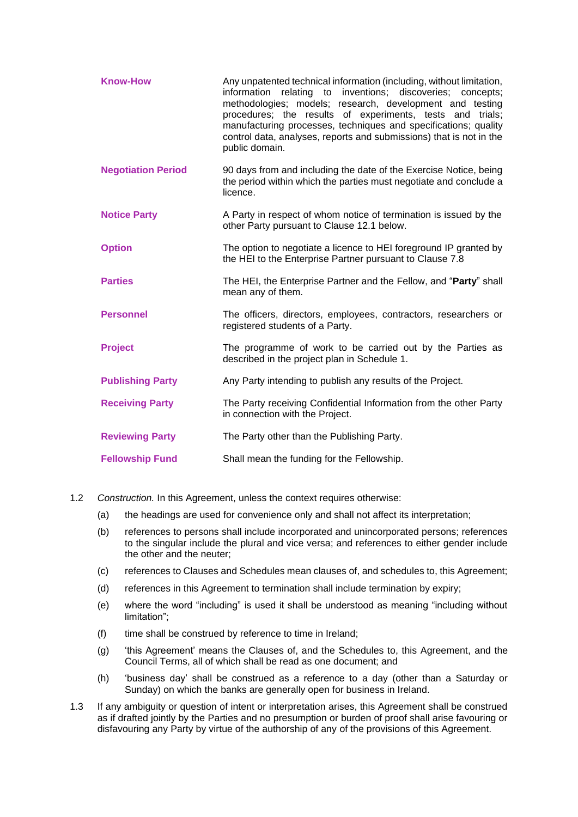| <b>Know-How</b>           | Any unpatented technical information (including, without limitation,<br>information relating to inventions; discoveries; concepts;<br>methodologies; models; research, development and testing<br>procedures; the results of experiments, tests and trials;<br>manufacturing processes, techniques and specifications; quality<br>control data, analyses, reports and submissions) that is not in the<br>public domain. |  |
|---------------------------|-------------------------------------------------------------------------------------------------------------------------------------------------------------------------------------------------------------------------------------------------------------------------------------------------------------------------------------------------------------------------------------------------------------------------|--|
| <b>Negotiation Period</b> | 90 days from and including the date of the Exercise Notice, being<br>the period within which the parties must negotiate and conclude a<br>licence.                                                                                                                                                                                                                                                                      |  |
| <b>Notice Party</b>       | A Party in respect of whom notice of termination is issued by the<br>other Party pursuant to Clause 12.1 below.                                                                                                                                                                                                                                                                                                         |  |
| <b>Option</b>             | The option to negotiate a licence to HEI foreground IP granted by<br>the HEI to the Enterprise Partner pursuant to Clause 7.8                                                                                                                                                                                                                                                                                           |  |
| <b>Parties</b>            | The HEI, the Enterprise Partner and the Fellow, and "Party" shall<br>mean any of them.                                                                                                                                                                                                                                                                                                                                  |  |
| <b>Personnel</b>          | The officers, directors, employees, contractors, researchers or<br>registered students of a Party.                                                                                                                                                                                                                                                                                                                      |  |
| <b>Project</b>            | The programme of work to be carried out by the Parties as<br>described in the project plan in Schedule 1.                                                                                                                                                                                                                                                                                                               |  |
| <b>Publishing Party</b>   | Any Party intending to publish any results of the Project.                                                                                                                                                                                                                                                                                                                                                              |  |
| <b>Receiving Party</b>    | The Party receiving Confidential Information from the other Party<br>in connection with the Project.                                                                                                                                                                                                                                                                                                                    |  |
| <b>Reviewing Party</b>    | The Party other than the Publishing Party.                                                                                                                                                                                                                                                                                                                                                                              |  |
| <b>Fellowship Fund</b>    | Shall mean the funding for the Fellowship.                                                                                                                                                                                                                                                                                                                                                                              |  |

- 1.2 *Construction.* In this Agreement, unless the context requires otherwise:
	- (a) the headings are used for convenience only and shall not affect its interpretation;
	- (b) references to persons shall include incorporated and unincorporated persons; references to the singular include the plural and vice versa; and references to either gender include the other and the neuter;
	- (c) references to Clauses and Schedules mean clauses of, and schedules to, this Agreement;
	- (d) references in this Agreement to termination shall include termination by expiry;
	- (e) where the word "including" is used it shall be understood as meaning "including without limitation";
	- (f) time shall be construed by reference to time in Ireland;
	- (g) 'this Agreement' means the Clauses of, and the Schedules to, this Agreement, and the Council Terms, all of which shall be read as one document; and
	- (h) 'business day' shall be construed as a reference to a day (other than a Saturday or Sunday) on which the banks are generally open for business in Ireland.
- 1.3 If any ambiguity or question of intent or interpretation arises, this Agreement shall be construed as if drafted jointly by the Parties and no presumption or burden of proof shall arise favouring or disfavouring any Party by virtue of the authorship of any of the provisions of this Agreement.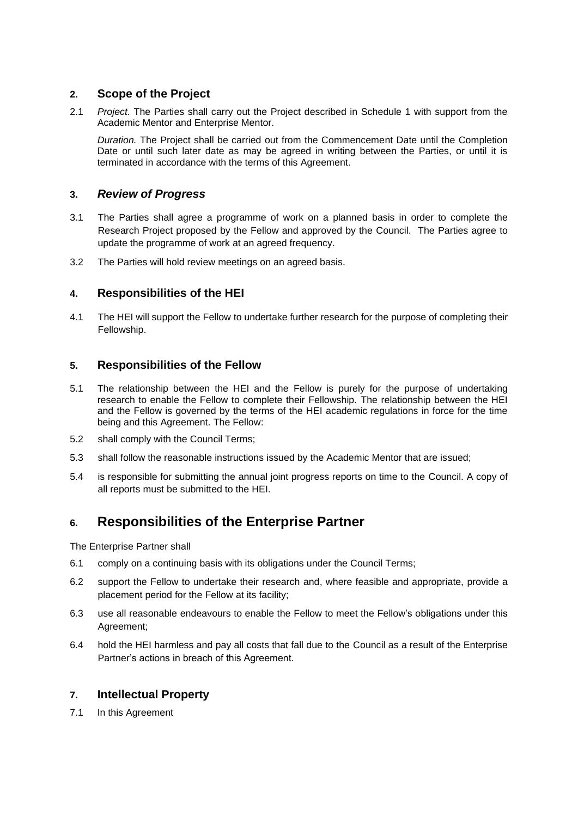# **2. Scope of the Project**

2.1 *Project.* The Parties shall carry out the Project described in Schedule 1 with support from the Academic Mentor and Enterprise Mentor.

*Duration.* The Project shall be carried out from the Commencement Date until the Completion Date or until such later date as may be agreed in writing between the Parties, or until it is terminated in accordance with the terms of this Agreement.

# **3.** *Review of Progress*

- 3.1 The Parties shall agree a programme of work on a planned basis in order to complete the Research Project proposed by the Fellow and approved by the Council. The Parties agree to update the programme of work at an agreed frequency.
- 3.2 The Parties will hold review meetings on an agreed basis.

# **4. Responsibilities of the HEI**

4.1 The HEI will support the Fellow to undertake further research for the purpose of completing their Fellowship.

# **5. Responsibilities of the Fellow**

- 5.1 The relationship between the HEI and the Fellow is purely for the purpose of undertaking research to enable the Fellow to complete their Fellowship. The relationship between the HEI and the Fellow is governed by the terms of the HEI academic regulations in force for the time being and this Agreement. The Fellow:
- 5.2 shall comply with the Council Terms;
- 5.3 shall follow the reasonable instructions issued by the Academic Mentor that are issued;
- 5.4 is responsible for submitting the annual joint progress reports on time to the Council. A copy of all reports must be submitted to the HEI.

# **6. Responsibilities of the Enterprise Partner**

The Enterprise Partner shall

- 6.1 comply on a continuing basis with its obligations under the Council Terms;
- 6.2 support the Fellow to undertake their research and, where feasible and appropriate, provide a placement period for the Fellow at its facility;
- 6.3 use all reasonable endeavours to enable the Fellow to meet the Fellow's obligations under this Agreement;
- 6.4 hold the HEI harmless and pay all costs that fall due to the Council as a result of the Enterprise Partner's actions in breach of this Agreement.

## **7. Intellectual Property**

7.1 In this Agreement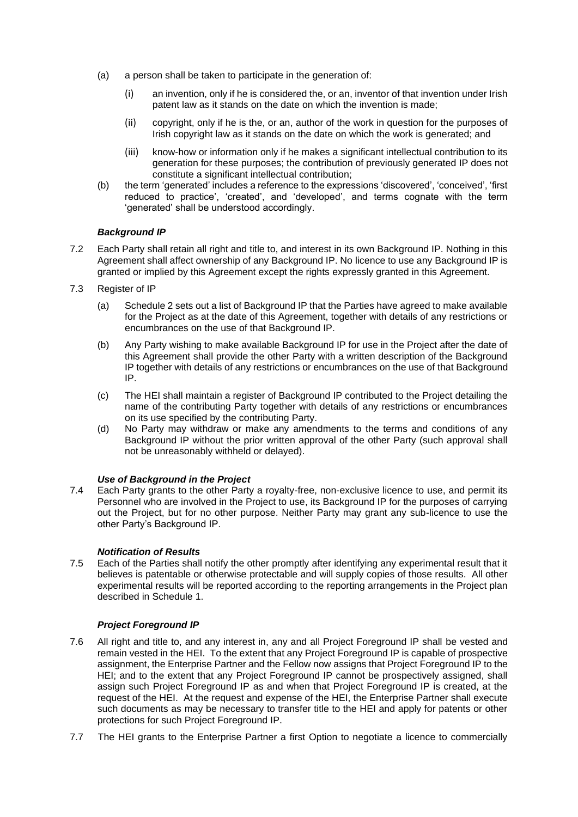- (a) a person shall be taken to participate in the generation of:
	- (i) an invention, only if he is considered the, or an, inventor of that invention under Irish patent law as it stands on the date on which the invention is made;
	- (ii) copyright, only if he is the, or an, author of the work in question for the purposes of Irish copyright law as it stands on the date on which the work is generated; and
	- (iii) know-how or information only if he makes a significant intellectual contribution to its generation for these purposes; the contribution of previously generated IP does not constitute a significant intellectual contribution:
- (b) the term 'generated' includes a reference to the expressions 'discovered', 'conceived', 'first reduced to practice', 'created', and 'developed', and terms cognate with the term 'generated' shall be understood accordingly.

#### *Background IP*

- 7.2 Each Party shall retain all right and title to, and interest in its own Background IP. Nothing in this Agreement shall affect ownership of any Background IP. No licence to use any Background IP is granted or implied by this Agreement except the rights expressly granted in this Agreement.
- 7.3 Register of IP
	- (a) Schedule 2 sets out a list of Background IP that the Parties have agreed to make available for the Project as at the date of this Agreement, together with details of any restrictions or encumbrances on the use of that Background IP.
	- (b) Any Party wishing to make available Background IP for use in the Project after the date of this Agreement shall provide the other Party with a written description of the Background IP together with details of any restrictions or encumbrances on the use of that Background IP.
	- (c) The HEI shall maintain a register of Background IP contributed to the Project detailing the name of the contributing Party together with details of any restrictions or encumbrances on its use specified by the contributing Party.
	- (d) No Party may withdraw or make any amendments to the terms and conditions of any Background IP without the prior written approval of the other Party (such approval shall not be unreasonably withheld or delayed).

#### *Use of Background in the Project*

7.4 Each Party grants to the other Party a royalty-free, non-exclusive licence to use, and permit its Personnel who are involved in the Project to use, its Background IP for the purposes of carrying out the Project, but for no other purpose. Neither Party may grant any sub-licence to use the other Party's Background IP.

#### *Notification of Results*

7.5 Each of the Parties shall notify the other promptly after identifying any experimental result that it believes is patentable or otherwise protectable and will supply copies of those results. All other experimental results will be reported according to the reporting arrangements in the Project plan described in Schedule 1.

#### *Project Foreground IP*

- 7.6 All right and title to, and any interest in, any and all Project Foreground IP shall be vested and remain vested in the HEI. To the extent that any Project Foreground IP is capable of prospective assignment, the Enterprise Partner and the Fellow now assigns that Project Foreground IP to the HEI; and to the extent that any Project Foreground IP cannot be prospectively assigned, shall assign such Project Foreground IP as and when that Project Foreground IP is created, at the request of the HEI. At the request and expense of the HEI, the Enterprise Partner shall execute such documents as may be necessary to transfer title to the HEI and apply for patents or other protections for such Project Foreground IP.
- 7.7 The HEI grants to the Enterprise Partner a first Option to negotiate a licence to commercially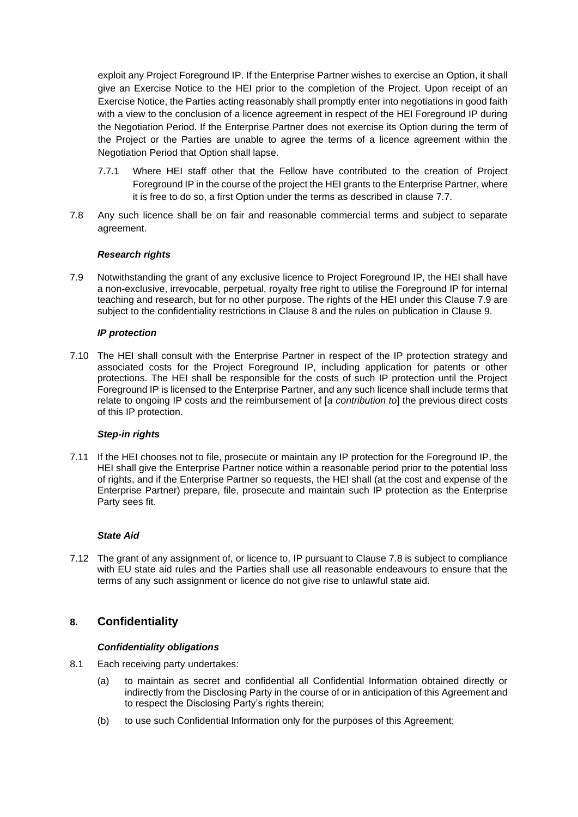exploit any Project Foreground IP. If the Enterprise Partner wishes to exercise an Option, it shall give an Exercise Notice to the HEI prior to the completion of the Project. Upon receipt of an Exercise Notice, the Parties acting reasonably shall promptly enter into negotiations in good faith with a view to the conclusion of a licence agreement in respect of the HEI Foreground IP during the Negotiation Period. If the Enterprise Partner does not exercise its Option during the term of the Project or the Parties are unable to agree the terms of a licence agreement within the Negotiation Period that Option shall lapse.

- 7.7.1 Where HEI staff other that the Fellow have contributed to the creation of Project Foreground IP in the course of the project the HEI grants to the Enterprise Partner, where it is free to do so, a first Option under the terms as described in clause 7.7.
- 7.8 Any such licence shall be on fair and reasonable commercial terms and subject to separate agreement.

#### *Research rights*

7.9 Notwithstanding the grant of any exclusive licence to Project Foreground IP, the HEI shall have a non-exclusive, irrevocable, perpetual, royalty free right to utilise the Foreground IP for internal teaching and research, but for no other purpose. The rights of the HEI under this Clause 7.9 are subject to the confidentiality restrictions in Clause 8 and the rules on publication in Clause 9.

#### *IP protection*

7.10 The HEI shall consult with the Enterprise Partner in respect of the IP protection strategy and associated costs for the Project Foreground IP, including application for patents or other protections. The HEI shall be responsible for the costs of such IP protection until the Project Foreground IP is licensed to the Enterprise Partner, and any such licence shall include terms that relate to ongoing IP costs and the reimbursement of [*a contribution to*] the previous direct costs of this IP protection.

#### *Step-in rights*

7.11 If the HEI chooses not to file, prosecute or maintain any IP protection for the Foreground IP, the HEI shall give the Enterprise Partner notice within a reasonable period prior to the potential loss of rights, and if the Enterprise Partner so requests, the HEI shall (at the cost and expense of the Enterprise Partner) prepare, file, prosecute and maintain such IP protection as the Enterprise Party sees fit.

#### *State Aid*

7.12 The grant of any assignment of, or licence to, IP pursuant to Clause 7.8 is subject to compliance with EU state aid rules and the Parties shall use all reasonable endeavours to ensure that the terms of any such assignment or licence do not give rise to unlawful state aid.

## **8. Confidentiality**

#### *Confidentiality obligations*

- 8.1 Each receiving party undertakes:
	- (a) to maintain as secret and confidential all Confidential Information obtained directly or indirectly from the Disclosing Party in the course of or in anticipation of this Agreement and to respect the Disclosing Party's rights therein;
	- (b) to use such Confidential Information only for the purposes of this Agreement;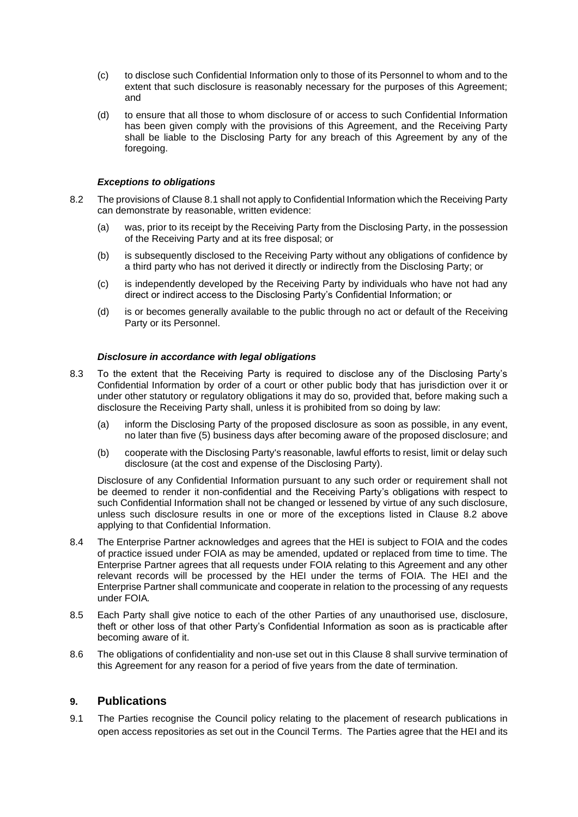- (c) to disclose such Confidential Information only to those of its Personnel to whom and to the extent that such disclosure is reasonably necessary for the purposes of this Agreement; and
- (d) to ensure that all those to whom disclosure of or access to such Confidential Information has been given comply with the provisions of this Agreement, and the Receiving Party shall be liable to the Disclosing Party for any breach of this Agreement by any of the foregoing.

#### *Exceptions to obligations*

- 8.2 The provisions of Clause 8.1 shall not apply to Confidential Information which the Receiving Party can demonstrate by reasonable, written evidence:
	- (a) was, prior to its receipt by the Receiving Party from the Disclosing Party, in the possession of the Receiving Party and at its free disposal; or
	- (b) is subsequently disclosed to the Receiving Party without any obligations of confidence by a third party who has not derived it directly or indirectly from the Disclosing Party; or
	- (c) is independently developed by the Receiving Party by individuals who have not had any direct or indirect access to the Disclosing Party's Confidential Information; or
	- (d) is or becomes generally available to the public through no act or default of the Receiving Party or its Personnel.

#### *Disclosure in accordance with legal obligations*

- 8.3 To the extent that the Receiving Party is required to disclose any of the Disclosing Party's Confidential Information by order of a court or other public body that has jurisdiction over it or under other statutory or regulatory obligations it may do so, provided that, before making such a disclosure the Receiving Party shall, unless it is prohibited from so doing by law:
	- (a) inform the Disclosing Party of the proposed disclosure as soon as possible, in any event, no later than five (5) business days after becoming aware of the proposed disclosure; and
	- (b) cooperate with the Disclosing Party's reasonable, lawful efforts to resist, limit or delay such disclosure (at the cost and expense of the Disclosing Party).

Disclosure of any Confidential Information pursuant to any such order or requirement shall not be deemed to render it non-confidential and the Receiving Party's obligations with respect to such Confidential Information shall not be changed or lessened by virtue of any such disclosure, unless such disclosure results in one or more of the exceptions listed in Clause 8.2 above applying to that Confidential Information.

- 8.4 The Enterprise Partner acknowledges and agrees that the HEI is subject to FOIA and the codes of practice issued under FOIA as may be amended, updated or replaced from time to time. The Enterprise Partner agrees that all requests under FOIA relating to this Agreement and any other relevant records will be processed by the HEI under the terms of FOIA. The HEI and the Enterprise Partner shall communicate and cooperate in relation to the processing of any requests under FOIA*.*
- 8.5 Each Party shall give notice to each of the other Parties of any unauthorised use, disclosure, theft or other loss of that other Party's Confidential Information as soon as is practicable after becoming aware of it.
- 8.6 The obligations of confidentiality and non-use set out in this Clause 8 shall survive termination of this Agreement for any reason for a period of five years from the date of termination.

### **9. Publications**

9.1 The Parties recognise the Council policy relating to the placement of research publications in open access repositories as set out in the Council Terms. The Parties agree that the HEI and its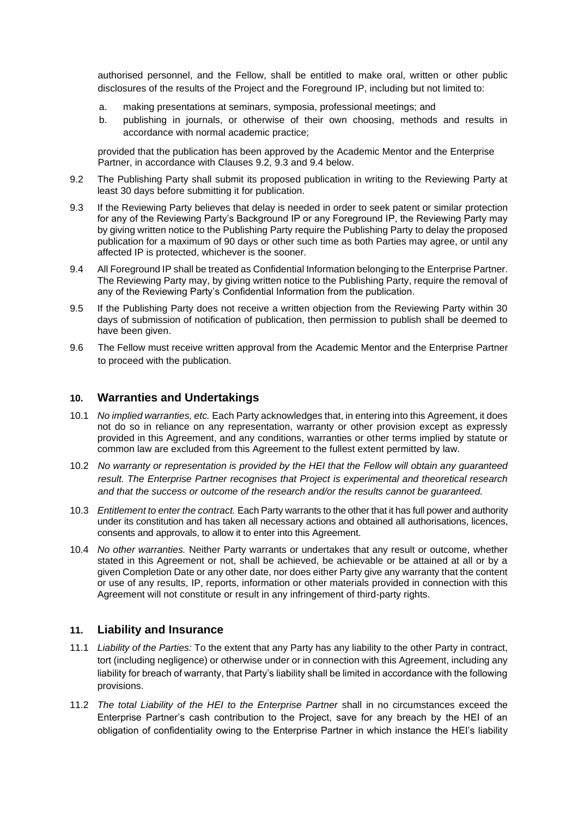authorised personnel, and the Fellow, shall be entitled to make oral, written or other public disclosures of the results of the Project and the Foreground IP, including but not limited to:

- a. making presentations at seminars, symposia, professional meetings; and
- b. publishing in journals, or otherwise of their own choosing, methods and results in accordance with normal academic practice;

provided that the publication has been approved by the Academic Mentor and the Enterprise Partner, in accordance with Clauses 9.2, 9.3 and 9.4 below.

- 9.2 The Publishing Party shall submit its proposed publication in writing to the Reviewing Party at least 30 days before submitting it for publication.
- 9.3 If the Reviewing Party believes that delay is needed in order to seek patent or similar protection for any of the Reviewing Party's Background IP or any Foreground IP, the Reviewing Party may by giving written notice to the Publishing Party require the Publishing Party to delay the proposed publication for a maximum of 90 days or other such time as both Parties may agree, or until any affected IP is protected, whichever is the sooner.
- 9.4 All Foreground IP shall be treated as Confidential Information belonging to the Enterprise Partner. The Reviewing Party may, by giving written notice to the Publishing Party, require the removal of any of the Reviewing Party's Confidential Information from the publication.
- 9.5 If the Publishing Party does not receive a written objection from the Reviewing Party within 30 days of submission of notification of publication, then permission to publish shall be deemed to have been given.
- 9.6 The Fellow must receive written approval from the Academic Mentor and the Enterprise Partner to proceed with the publication.

## **10. Warranties and Undertakings**

- 10.1 *No implied warranties, etc.* Each Party acknowledges that, in entering into this Agreement, it does not do so in reliance on any representation, warranty or other provision except as expressly provided in this Agreement, and any conditions, warranties or other terms implied by statute or common law are excluded from this Agreement to the fullest extent permitted by law.
- 10.2 *No warranty or representation is provided by the HEI that the Fellow will obtain any guaranteed result. The Enterprise Partner recognises that Project is experimental and theoretical research and that the success or outcome of the research and/or the results cannot be guaranteed.*
- 10.3 *Entitlement to enter the contract.* Each Party warrants to the other that it has full power and authority under its constitution and has taken all necessary actions and obtained all authorisations, licences, consents and approvals, to allow it to enter into this Agreement.
- 10.4 *No other warranties.* Neither Party warrants or undertakes that any result or outcome, whether stated in this Agreement or not, shall be achieved, be achievable or be attained at all or by a given Completion Date or any other date, nor does either Party give any warranty that the content or use of any results, IP, reports, information or other materials provided in connection with this Agreement will not constitute or result in any infringement of third-party rights.

## **11. Liability and Insurance**

- 11.1 *Liability of the Parties:* To the extent that any Party has any liability to the other Party in contract, tort (including negligence) or otherwise under or in connection with this Agreement, including any liability for breach of warranty, that Party's liability shall be limited in accordance with the following provisions.
- 11.2 *The total Liability of the HEI to the Enterprise Partner* shall in no circumstances exceed the Enterprise Partner's cash contribution to the Project, save for any breach by the HEI of an obligation of confidentiality owing to the Enterprise Partner in which instance the HEI's liability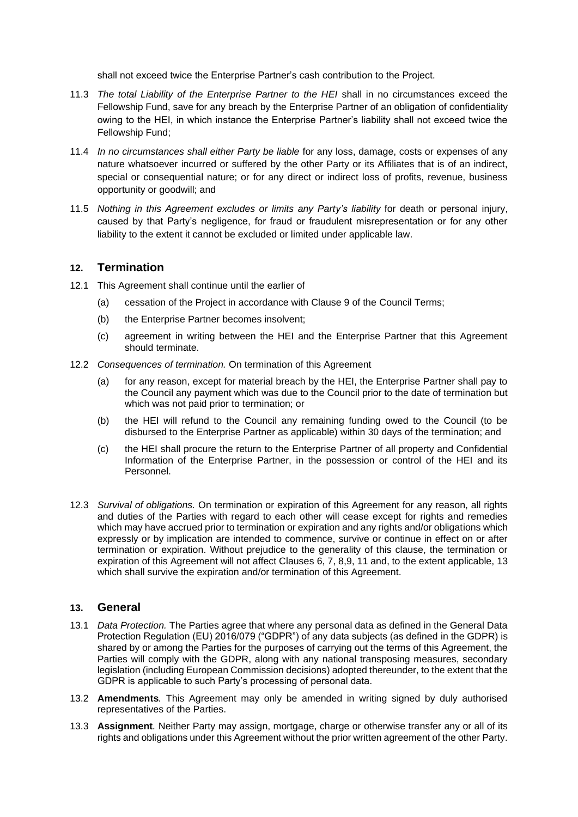shall not exceed twice the Enterprise Partner's cash contribution to the Project.

- 11.3 *The total Liability of the Enterprise Partner to the HEI* shall in no circumstances exceed the Fellowship Fund, save for any breach by the Enterprise Partner of an obligation of confidentiality owing to the HEI, in which instance the Enterprise Partner's liability shall not exceed twice the Fellowship Fund;
- 11.4 *In no circumstances shall either Party be liable* for any loss, damage, costs or expenses of any nature whatsoever incurred or suffered by the other Party or its Affiliates that is of an indirect, special or consequential nature; or for any direct or indirect loss of profits, revenue, business opportunity or goodwill; and
- 11.5 *Nothing in this Agreement excludes or limits any Party's liability* for death or personal injury, caused by that Party's negligence, for fraud or fraudulent misrepresentation or for any other liability to the extent it cannot be excluded or limited under applicable law.

## **12. Termination**

- 12.1 This Agreement shall continue until the earlier of
	- (a) cessation of the Project in accordance with Clause 9 of the Council Terms;
	- (b) the Enterprise Partner becomes insolvent;
	- (c) agreement in writing between the HEI and the Enterprise Partner that this Agreement should terminate.
- 12.2 *Consequences of termination.* On termination of this Agreement
	- (a) for any reason, except for material breach by the HEI, the Enterprise Partner shall pay to the Council any payment which was due to the Council prior to the date of termination but which was not paid prior to termination; or
	- (b) the HEI will refund to the Council any remaining funding owed to the Council (to be disbursed to the Enterprise Partner as applicable) within 30 days of the termination; and
	- (c) the HEI shall procure the return to the Enterprise Partner of all property and Confidential Information of the Enterprise Partner, in the possession or control of the HEI and its Personnel.
- 12.3 *Survival of obligations.* On termination or expiration of this Agreement for any reason, all rights and duties of the Parties with regard to each other will cease except for rights and remedies which may have accrued prior to termination or expiration and any rights and/or obligations which expressly or by implication are intended to commence, survive or continue in effect on or after termination or expiration. Without prejudice to the generality of this clause, the termination or expiration of this Agreement will not affect Clauses 6, 7, 8,9, 11 and, to the extent applicable, 13 which shall survive the expiration and/or termination of this Agreement.

#### **13. General**

- 13.1 *Data Protection.* The Parties agree that where any personal data as defined in the General Data Protection Regulation (EU) 2016/079 ("GDPR") of any data subjects (as defined in the GDPR) is shared by or among the Parties for the purposes of carrying out the terms of this Agreement, the Parties will comply with the GDPR, along with any national transposing measures, secondary legislation (including European Commission decisions) adopted thereunder, to the extent that the GDPR is applicable to such Party's processing of personal data.
- 13.2 **Amendments***.* This Agreement may only be amended in writing signed by duly authorised representatives of the Parties.
- 13.3 **Assignment***.* Neither Party may assign, mortgage, charge or otherwise transfer any or all of its rights and obligations under this Agreement without the prior written agreement of the other Party.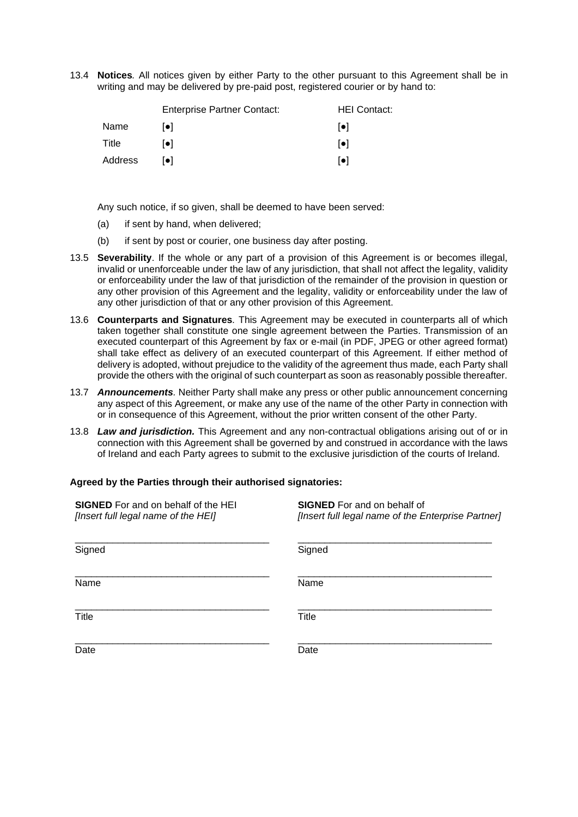13.4 **Notices***.* All notices given by either Party to the other pursuant to this Agreement shall be in writing and may be delivered by pre-paid post, registered courier or by hand to:

|         | <b>Enterprise Partner Contact:</b> | <b>HEI Contact:</b>     |
|---------|------------------------------------|-------------------------|
| Name    | l●l                                | $  \bullet  $           |
| Title   | [•]                                | $\lceil \bullet \rceil$ |
| Address | l●l                                | $\lceil \bullet \rceil$ |

Any such notice, if so given, shall be deemed to have been served:

- (a) if sent by hand, when delivered;
- (b) if sent by post or courier, one business day after posting.
- 13.5 **Severability**. If the whole or any part of a provision of this Agreement is or becomes illegal, invalid or unenforceable under the law of any jurisdiction, that shall not affect the legality, validity or enforceability under the law of that jurisdiction of the remainder of the provision in question or any other provision of this Agreement and the legality, validity or enforceability under the law of any other jurisdiction of that or any other provision of this Agreement.
- 13.6 **Counterparts and Signatures***.* This Agreement may be executed in counterparts all of which taken together shall constitute one single agreement between the Parties. Transmission of an executed counterpart of this Agreement by fax or e-mail (in PDF, JPEG or other agreed format) shall take effect as delivery of an executed counterpart of this Agreement. If either method of delivery is adopted, without prejudice to the validity of the agreement thus made, each Party shall provide the others with the original of such counterpart as soon as reasonably possible thereafter.
- 13.7 *Announcements.* Neither Party shall make any press or other public announcement concerning any aspect of this Agreement, or make any use of the name of the other Party in connection with or in consequence of this Agreement, without the prior written consent of the other Party.
- 13.8 *Law and jurisdiction.* This Agreement and any non-contractual obligations arising out of or in connection with this Agreement shall be governed by and construed in accordance with the laws of Ireland and each Party agrees to submit to the exclusive jurisdiction of the courts of Ireland.

#### **Agreed by the Parties through their authorised signatories:**

| <b>SIGNED</b> For and on behalf of the HEI<br>[Insert full legal name of the HEI] | <b>SIGNED</b> For and on behalf of<br>[Insert full legal name of the Enterprise Partner] |
|-----------------------------------------------------------------------------------|------------------------------------------------------------------------------------------|
| Signed                                                                            | Signed                                                                                   |
| Name                                                                              | Name                                                                                     |
| Title                                                                             | <b>Title</b>                                                                             |
| Date                                                                              | Date                                                                                     |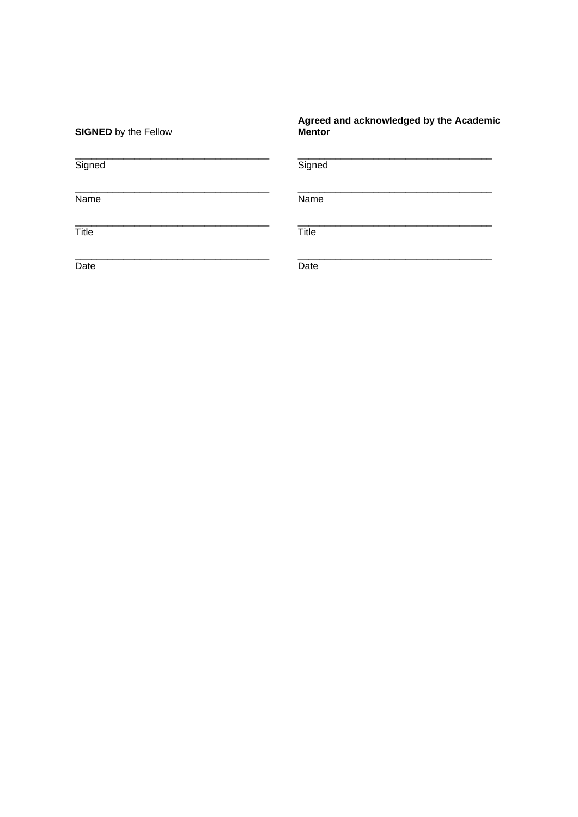| <b>SIGNED</b> by the Fellow | Agreed and acknowledged by the Academic<br><b>Mentor</b> |
|-----------------------------|----------------------------------------------------------|
| Signed                      | Signed                                                   |
| Name                        | Name                                                     |
| Title                       | Title                                                    |
| Date                        | Date                                                     |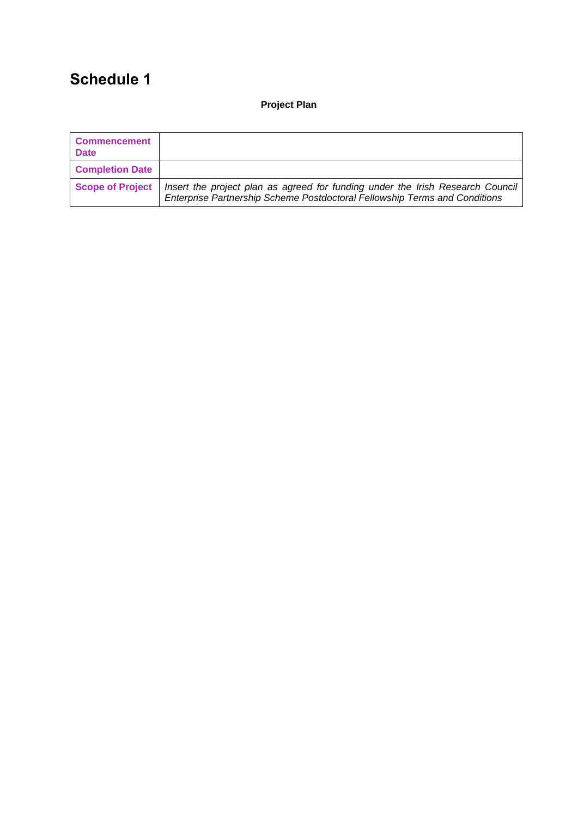# **Schedule 1**

**Project Plan**

| <b>Commencement</b><br><b>Date</b> |                                                                                                                                                              |
|------------------------------------|--------------------------------------------------------------------------------------------------------------------------------------------------------------|
| <b>Completion Date</b>             |                                                                                                                                                              |
| <b>Scope of Project</b>            | Insert the project plan as agreed for funding under the Irish Research Council<br>Enterprise Partnership Scheme Postdoctoral Fellowship Terms and Conditions |